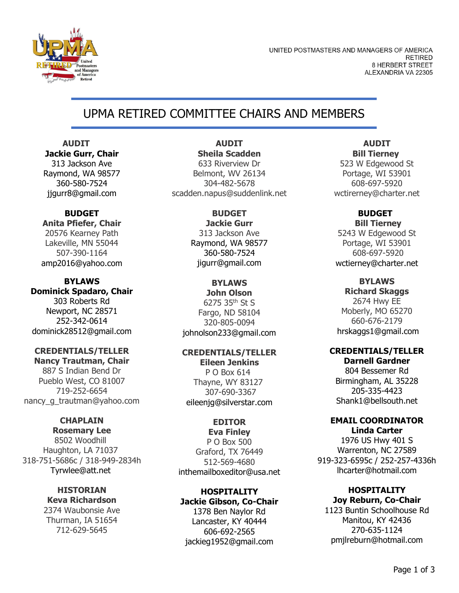

UNITED POSTMASTERS AND MANAGERS OF AMERICA **RETIRED** 8 HERBERT STREET ALEXANDRIA VA 22305

# UPMA RETIRED COMMITTEE CHAIRS AND MEMBERS

 **AUDIT Jackie Gurr, Chair** 313 Jackson Ave Raymond, WA 98577 360-580-7524 jjgurr8@gmail.com

### **BUDGET Anita Pfiefer, Chair** 20576 Kearney Path Lakeville, MN 55044 507-390-1164 amp2016@yahoo.com

**BYLAWS Dominick Spadaro, Chair** 303 Roberts Rd Newport, NC 28571 252-342-0614 dominick28512@gmail.com

## **CREDENTIALS/TELLER**

**Nancy Trautman, Chair** 887 S Indian Bend Dr Pueblo West, CO 81007 719-252-6654 nancy q trautman@yahoo.com

## **CHAPLAIN**

**Rosemary Lee** 8502 Woodhill Haughton, LA 71037 318-751-5686c / 318-949-2834h Tyrwlee@att.net

> **HISTORIAN Keva Richardson** 2374 Waubonsie Ave Thurman, IA 51654 712-629-5645

#### **AUDIT Sheila Scadden**

633 Riverview Dr Belmont, WV 26134 304-482-5678 scadden.napus@suddenlink.net

> **BUDGET Jackie Gurr** 313 Jackson Ave Raymond, WA 98577 360-580-7524 jigurr@gmail.com

#### **BYLAWS John Olson**

6275 35th St S Fargo, ND 58104 320-805-0094 johnolson233@gmail.com

### **CREDENTIALS/TELLER**

**Eileen Jenkins** P O Box 614 Thayne, WY 83127 307-690-3367 eileenjg@silverstar.com

## **EDITOR**

**Eva Finley** P O Box 500 Graford, TX 76449 512-569-4680 inthemailboxeditor@usa.net

## **HOSPITALITY Jackie Gibson, Co-Chair**

1378 Ben Naylor Rd Lancaster, KY 40444 606-692-2565 jackieg1952@gmail.com

## **AUDIT Bill Tierney**

523 W Edgewood St Portage, WI 53901 608-697-5920 wctirerney@charter.net

> **BUDGET Bill Tierney**

5243 W Edgewood St Portage, WI 53901 608-697-5920 wctierney@charter.net

#### **BYLAWS Richard Skaggs**

2674 Hwy EE Moberly, MO 65270 660-676-217[9](https://www.unitedpma.org/upma-retired/mailtochevy5188@hotmail.com) hrskaggs1@gmail.com

#### **CREDENTIALS/TELLER Darnell Gardner**

804 Bessemer Rd Birmingham, AL 35228 205-335-4423 Shank1@bellsouth.net

## **EMAIL COORDINATOR**

**Linda Carter** 1976 US Hwy 401 S Warrenton, NC 27589 919-323-6595c / 252-257-4336h lhcarter@hotmail.com

#### **HOSPITALITY Joy Reburn, Co-Chair**

1123 Buntin Schoolhouse Rd Manitou, KY 42436 270-635-1124 pmjlreburn@hotmail.com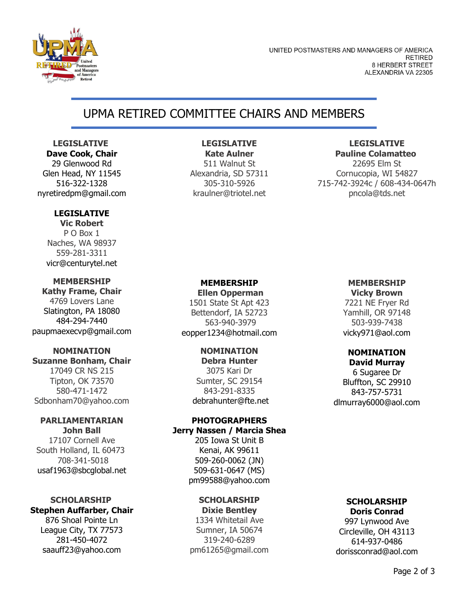

UNITED POSTMASTERS AND MANAGERS OF AMERICA **RETIRED** 8 HERBERT STREET ALEXANDRIA VA 22305

# UPMA RETIRED COMMITTEE CHAIRS AND MEMBERS

 **LEGISLATIVE Dave Cook, Chair**

29 Glenwood Rd Glen Head, NY 11545 516-322-1328 nyretiredpm@gmail.com

### **LEGISLATIVE**

**Vic Robert** P O Box 1 Naches, WA 98937 559-281-3311 vicr@centurytel.net

## **MEMBERSHIP**

**Kathy Frame, Chair** 4769 Lovers Lane Slatington, PA 18080 484-294-7440 paupmaexecvp@gmail.com

## **NOMINATION Suzanne Bonham, Chair** 17049 CR NS 215 Tipton, OK 73570 580-471-1472 Sdbonham70@yahoo.com

#### **PARLIAMENTARIAN John Ball**

17107 Cornell Ave South Holland, IL 60473 708-341-5018 usaf1963@sbcglobal.net

#### **SCHOLARSHIP Stephen Auffarber, Chair**

876 Shoal Pointe Ln League City, TX 77573 281-450-4072 saauff23@yahoo.com

## **LEGISLATIVE**

**Kate Aulner** 511 Walnut St Alexandria, SD 57311 305-310-5926 kraulner@triotel.net

#### **LEGISLATIVE Pauline Colamatteo**

22695 Elm St Cornucopia, WI 54827 715-742-3924c / 608-434-0647h pncola@tds.net

### **MEMBERSHIP**

**Ellen Opperman** 1501 State St Apt 423 Bettendorf, IA 52723 563-940-3979 eopper1234@hotmail.com

### **NOMINATION**

**Debra Hunter** 3075 Kari Dr Sumter, SC 29154 843-291-833[5](https://www.unitedpma.org/upma-retired/mailtochevy5188@hotmail.com) debrahunter@fte.net

# **PHOTOGRAPHERS**

## **Jerry Nassen / Marcia Shea**

205 Iowa St Unit B Kenai, AK 99611 509-260-0062 (JN) 509-631-0647 (MS) pm99588@yahoo.com

#### **SCHOLARSHIP Dixie Bentley**

1334 Whitetail Ave Sumner, IA 50674 319-240-6289 pm61265@gmail.com

# **MEMBERSHIP**

**Vicky Brown** 7221 NE Fryer Rd Yamhill, OR 97148 503-939-7438 vicky971@aol.com

#### **NOMINATION David Murray**

6 Sugaree Dr Bluffton, SC 29910 843-757-5731 dlmurray6000@aol.com

#### **SCHOLARSHIP Doris Conrad**

997 Lynwood Ave Circleville, OH 43113 614-937-0486 dorissconrad@aol.com